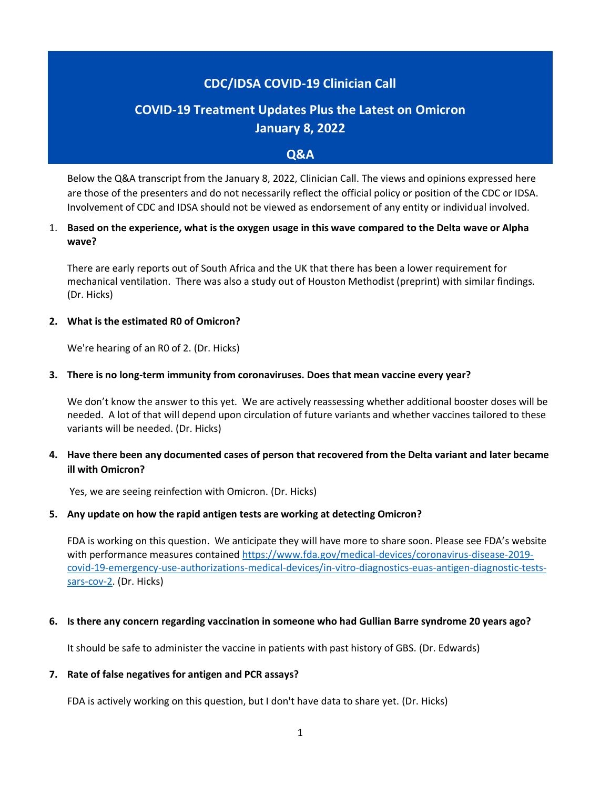# **CDC/IDSA COVID-19 Clinician Call**

# **COVID-19 Treatment Updates Plus the Latest on Omicron January 8, 2022**

## **Q&A**

Below the Q&A transcript from the January 8, 2022, Clinician Call. The views and opinions expressed here are those of the presenters and do not necessarily reflect the official policy or position of the CDC or IDSA. Involvement of CDC and IDSA should not be viewed as endorsement of any entity or individual involved.

# 1. **Based on the experience, what is the oxygen usage in this wave compared to the Delta wave or Alpha wave?**

There are early reports out of South Africa and the UK that there has been a lower requirement for mechanical ventilation. There was also a study out of Houston Methodist (preprint) with similar findings. (Dr. Hicks)

#### **2. What is the estimated R0 of Omicron?**

We're hearing of an R0 of 2. (Dr. Hicks)

#### **3. There is no long-term immunity from coronaviruses. Does that mean vaccine every year?**

We don't know the answer to this yet. We are actively reassessing whether additional booster doses will be needed. A lot of that will depend upon circulation of future variants and whether vaccines tailored to these variants will be needed. (Dr. Hicks)

## **4. Have there been any documented cases of person that recovered from the Delta variant and later became ill with Omicron?**

Yes, we are seeing reinfection with Omicron. (Dr. Hicks)

#### **5. Any update on how the rapid antigen tests are working at detecting Omicron?**

FDA is working on this question. We anticipate they will have more to share soon. Please see FDA's website with performance measures contained [https://www.fda.gov/medical-devices/coronavirus-disease-2019](https://www.fda.gov/medical-devices/coronavirus-disease-2019-covid-19-emergency-use-authorizations-medical-devices/in-vitro-diagnostics-euas-antigen-diagnostic-tests-sars-cov-2) [covid-19-emergency-use-authorizations-medical-devices/in-vitro-diagnostics-euas-antigen-diagnostic-tests](https://www.fda.gov/medical-devices/coronavirus-disease-2019-covid-19-emergency-use-authorizations-medical-devices/in-vitro-diagnostics-euas-antigen-diagnostic-tests-sars-cov-2)[sars-cov-2.](https://www.fda.gov/medical-devices/coronavirus-disease-2019-covid-19-emergency-use-authorizations-medical-devices/in-vitro-diagnostics-euas-antigen-diagnostic-tests-sars-cov-2) (Dr. Hicks)

#### **6. Is there any concern regarding vaccination in someone who had Gullian Barre syndrome 20 years ago?**

It should be safe to administer the vaccine in patients with past history of GBS. (Dr. Edwards)

#### **7. Rate of false negatives for antigen and PCR assays?**

FDA is actively working on this question, but I don't have data to share yet. (Dr. Hicks)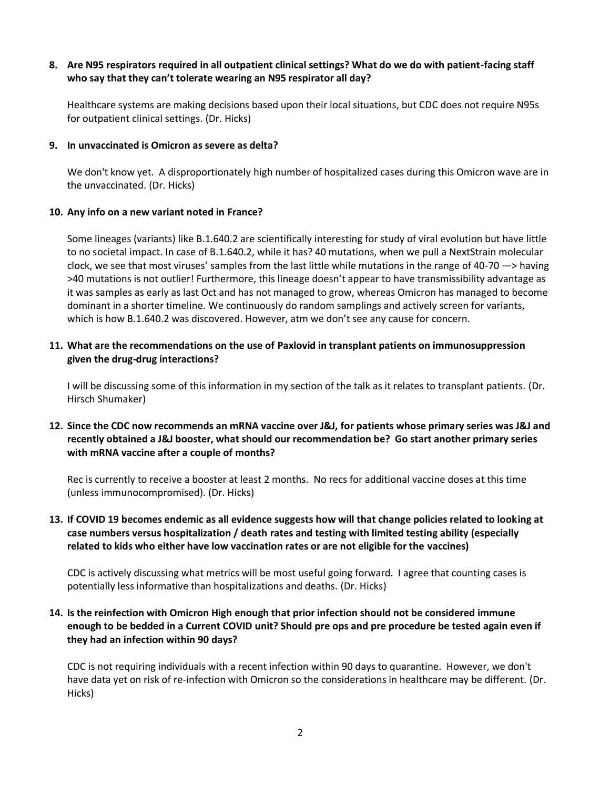# **8. Are N95 respirators required in all outpatient clinical settings? What do we do with patient-facing staff who say that they can't tolerate wearing an N95 respirator all day?**

Healthcare systems are making decisions based upon their local situations, but CDC does not require N95s for outpatient clinical settings. (Dr. Hicks)

### **9. In unvaccinated is Omicron as severe as delta?**

We don't know yet. A disproportionately high number of hospitalized cases during this Omicron wave are in the unvaccinated. (Dr. Hicks)

## **10. Any info on a new variant noted in France?**

Some lineages (variants) like B.1.640.2 are scientifically interesting for study of viral evolution but have little to no societal impact. In case of B.1.640.2, while it has? 40 mutations, when we pull a NextStrain molecular clock, we see that most viruses' samples from the last little while mutations in the range of 40-70 —> having >40 mutations is not outlier! Furthermore, this lineage doesn't appear to have transmissibility advantage as it was samples as early as last Oct and has not managed to grow, whereas Omicron has managed to become dominant in a shorter timeline. We continuously do random samplings and actively screen for variants, which is how B.1.640.2 was discovered. However, atm we don't see any cause for concern.

# **11. What are the recommendations on the use of Paxlovid in transplant patients on immunosuppression given the drug-drug interactions?**

I will be discussing some of this information in my section of the talk as it relates to transplant patients. (Dr. Hirsch Shumaker)

# **12. Since the CDC now recommends an mRNA vaccine over J&J, for patients whose primary series was J&J and recently obtained a J&J booster, what should our recommendation be? Go start another primary series with mRNA vaccine after a couple of months?**

Rec is currently to receive a booster at least 2 months. No recs for additional vaccine doses at this time (unless immunocompromised). (Dr. Hicks)

# **13. If COVID 19 becomes endemic as all evidence suggests how will that change policies related to looking at case numbers versus hospitalization / death rates and testing with limited testing ability (especially related to kids who either have low vaccination rates or are not eligible for the vaccines)**

CDC is actively discussing what metrics will be most useful going forward. I agree that counting cases is potentially less informative than hospitalizations and deaths. (Dr. Hicks)

# **14. Is the reinfection with Omicron High enough that prior infection should not be considered immune enough to be bedded in a Current COVID unit? Should pre ops and pre procedure be tested again even if they had an infection within 90 days?**

CDC is not requiring individuals with a recent infection within 90 days to quarantine. However, we don't have data yet on risk of re-infection with Omicron so the considerations in healthcare may be different. (Dr. Hicks)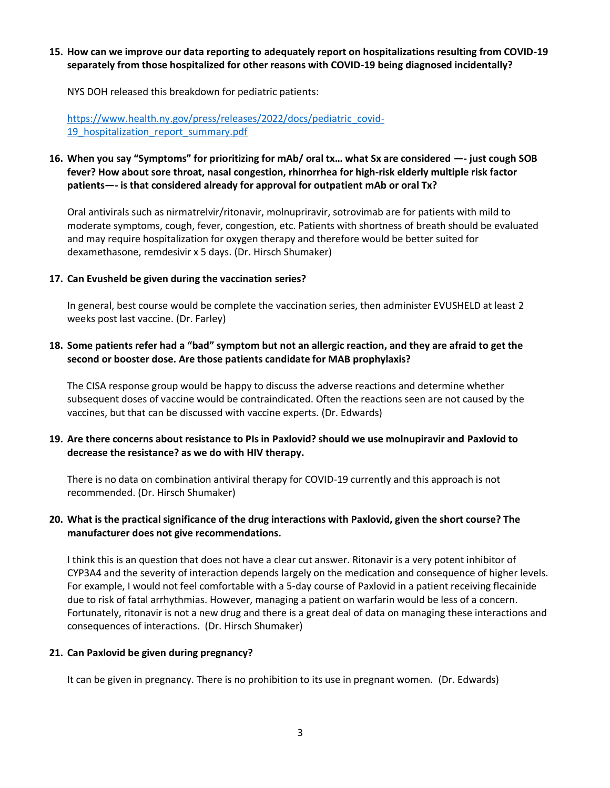## **15. How can we improve our data reporting to adequately report on hospitalizations resulting from COVID-19 separately from those hospitalized for other reasons with COVID-19 being diagnosed incidentally?**

NYS DOH released this breakdown for pediatric patients:

[https://www.health.ny.gov/press/releases/2022/docs/pediatric\\_covid-](https://www.health.ny.gov/press/releases/2022/docs/pediatric_covid-19_hospitalization_report_summary.pdf)19 hospitalization report summary.pdf

# **16. When you say "Symptoms" for prioritizing for mAb/ oral tx… what Sx are considered —- just cough SOB fever? How about sore throat, nasal congestion, rhinorrhea for high-risk elderly multiple risk factor patients—- is that considered already for approval for outpatient mAb or oral Tx?**

Oral antivirals such as nirmatrelvir/ritonavir, molnupriravir, sotrovimab are for patients with mild to moderate symptoms, cough, fever, congestion, etc. Patients with shortness of breath should be evaluated and may require hospitalization for oxygen therapy and therefore would be better suited for dexamethasone, remdesivir x 5 days. (Dr. Hirsch Shumaker)

#### **17. Can Evusheld be given during the vaccination series?**

In general, best course would be complete the vaccination series, then administer EVUSHELD at least 2 weeks post last vaccine. (Dr. Farley)

## **18. Some patients refer had a "bad" symptom but not an allergic reaction, and they are afraid to get the second or booster dose. Are those patients candidate for MAB prophylaxis?**

The CISA response group would be happy to discuss the adverse reactions and determine whether subsequent doses of vaccine would be contraindicated. Often the reactions seen are not caused by the vaccines, but that can be discussed with vaccine experts. (Dr. Edwards)

## **19. Are there concerns about resistance to PIs in Paxlovid? should we use molnupiravir and Paxlovid to decrease the resistance? as we do with HIV therapy.**

There is no data on combination antiviral therapy for COVID-19 currently and this approach is not recommended. (Dr. Hirsch Shumaker)

## **20. What is the practical significance of the drug interactions with Paxlovid, given the short course? The manufacturer does not give recommendations.**

I think this is an question that does not have a clear cut answer. Ritonavir is a very potent inhibitor of CYP3A4 and the severity of interaction depends largely on the medication and consequence of higher levels. For example, I would not feel comfortable with a 5-day course of Paxlovid in a patient receiving flecainide due to risk of fatal arrhythmias. However, managing a patient on warfarin would be less of a concern. Fortunately, ritonavir is not a new drug and there is a great deal of data on managing these interactions and consequences of interactions. (Dr. Hirsch Shumaker)

#### **21. Can Paxlovid be given during pregnancy?**

It can be given in pregnancy. There is no prohibition to its use in pregnant women. (Dr. Edwards)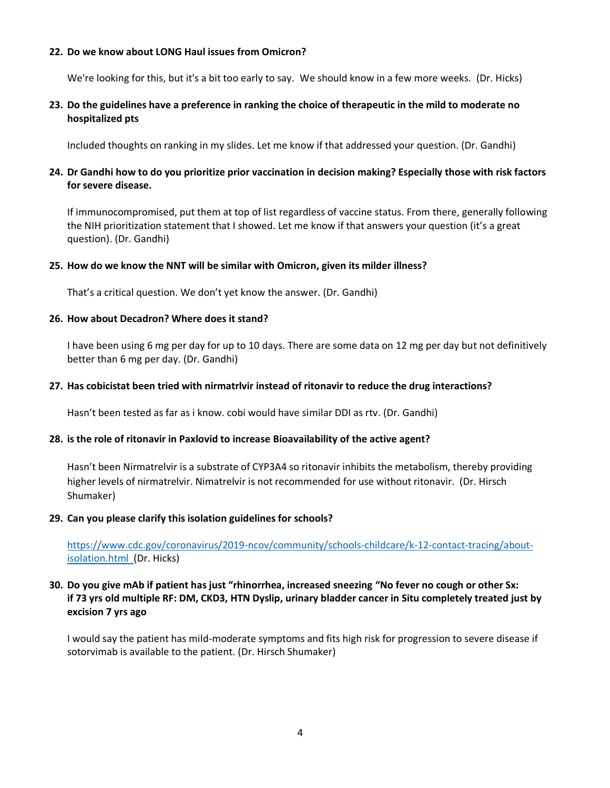#### **22. Do we know about LONG Haul issues from Omicron?**

We're looking for this, but it's a bit too early to say. We should know in a few more weeks. (Dr. Hicks)

## **23. Do the guidelines have a preference in ranking the choice of therapeutic in the mild to moderate no hospitalized pts**

Included thoughts on ranking in my slides. Let me know if that addressed your question. (Dr. Gandhi)

# **24. Dr Gandhi how to do you prioritize prior vaccination in decision making? Especially those with risk factors for severe disease.**

If immunocompromised, put them at top of list regardless of vaccine status. From there, generally following the NIH prioritization statement that I showed. Let me know if that answers your question (it's a great question). (Dr. Gandhi)

#### **25. How do we know the NNT will be similar with Omicron, given its milder illness?**

That's a critical question. We don't yet know the answer. (Dr. Gandhi)

#### **26. How about Decadron? Where does it stand?**

I have been using 6 mg per day for up to 10 days. There are some data on 12 mg per day but not definitively better than 6 mg per day. (Dr. Gandhi)

#### **27. Has cobicistat been tried with nirmatrlvir instead of ritonavir to reduce the drug interactions?**

Hasn't been tested as far as i know. cobi would have similar DDI as rtv. (Dr. Gandhi)

#### **28. is the role of ritonavir in Paxlovid to increase Bioavailability of the active agent?**

Hasn't been Nirmatrelvir is a substrate of CYP3A4 so ritonavir inhibits the metabolism, thereby providing higher levels of nirmatrelvir. Nimatrelvir is not recommended for use without ritonavir. (Dr. Hirsch Shumaker)

#### **29. Can you please clarify this isolation guidelines for schools?**

[https://www.cdc.gov/coronavirus/2019-ncov/community/schools-childcare/k-12-contact-tracing/about](https://www.cdc.gov/coronavirus/2019-ncov/community/schools-childcare/k-12-contact-tracing/about-isolation.html)[isolation.html](https://www.cdc.gov/coronavirus/2019-ncov/community/schools-childcare/k-12-contact-tracing/about-isolation.html) (Dr. Hicks)

# **30. Do you give mAb if patient has just "rhinorrhea, increased sneezing "No fever no cough or other Sx: if 73 yrs old multiple RF: DM, CKD3, HTN Dyslip, urinary bladder cancer in Situ completely treated just by excision 7 yrs ago**

I would say the patient has mild-moderate symptoms and fits high risk for progression to severe disease if sotorvimab is available to the patient. (Dr. Hirsch Shumaker)